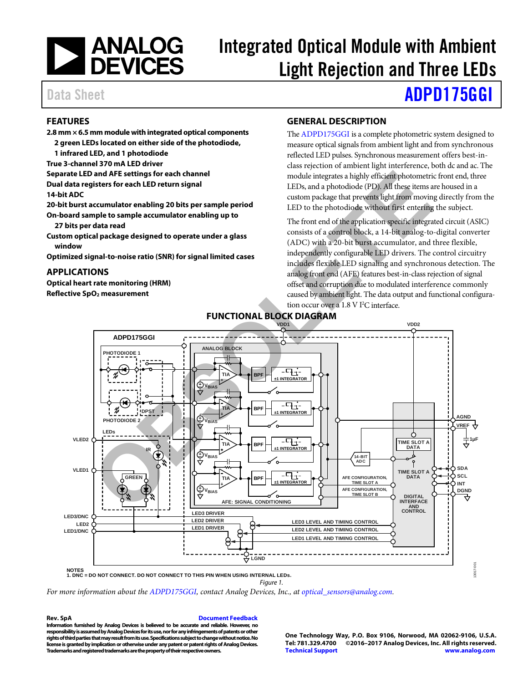

# Integrated Optical Module with Ambient Light Rejection and Three LEDs

# Data Sheet **[ADPD175GGI](http://www.analog.com/adpd175ggi?doc=adpd175ggi.pdf)**

#### **FEATURES**

- **2.8 mm × 6.5 mm module with integrated optical components 2 green LEDs located on either side of the photodiode,**
- **1 infrared LED, and 1 photodiode**
- **True 3-channel 370 mA LED driver**
- **Separate LED and AFE settings for each channel**
- **Dual data registers for each LED return signal 14-bit ADC**
- 
- **20-bit burst accumulator enabling 20 bits per sample period**
- **On-board sample to sample accumulator enabling up to 27 bits per data read**
- **Custom optical package designed to operate under a glass window**
- **Optimized signal-to-noise ratio (SNR) for signal limited cases**

#### **APPLICATIONS**

**Optical heart rate monitoring (HRM) Reflective SpO2 measurement** 

### **GENERAL DESCRIPTION**

Th[e ADPD175GGI i](http://www.analog.com/adpd175ggi?doc=adpd175ggi.pdf)s a complete photometric system designed to measure optical signals from ambient light and from synchronous reflected LED pulses. Synchronous measurement offers best-inclass rejection of ambient light interference, both dc and ac. The module integrates a highly efficient photometric front end, three LEDs, and a photodiode (PD). All these items are housed in a custom package that prevents light from moving directly from the LED to the photodiode without first entering the subject.

The front end of the application specific integrated circuit (ASIC) consists of a control block, a 14-bit analog-to-digital converter (ADC) with a 20-bit burst accumulator, and three flexible, independently configurable LED drivers. The control circuitry includes flexible LED signaling and synchronous detection. The analog front end (AFE) features best-in-class rejection of signal offset and corruption due to modulated interference commonly caused by ambient light. The data output and functional configuration occur over a 1.8 V I<sup>2</sup>C interface.



Figure 1.

*For more information about the ADPD175GGI, contact Analog Devices, Inc., at optical\_sensors@analog.com.* 

**Rev. SpA [Document Feedback](https://form.analog.com/Form_Pages/feedback/documentfeedback.aspx?doc=ADPD175GGI.pdf&product=ADPD175GGI&rev=SpA)  Information furnished by Analog Devices is believed to be accurate and reliable. However, no responsibility is assumed by Analog Devices for its use, nor for any infringements of patents or other rights of third parties that may result from its use. Specifications subject to change without notice. No license is granted by implication or otherwise under any patent or patent rights of Analog Devices. Trademarks and registered trademarks are the property of their respective owners.** 

**One Technology Way, P.O. Box 9106, Norwood, MA 02062-9106, U.S.A. Tel: 781.329.4700 ©2016–2017 Analog Devices, Inc. All rights reserved. [Technical Support](http://www.analog.com/en/content/technical_support_page/fca.html) [www.analog.com](http://www.analog.com/)**